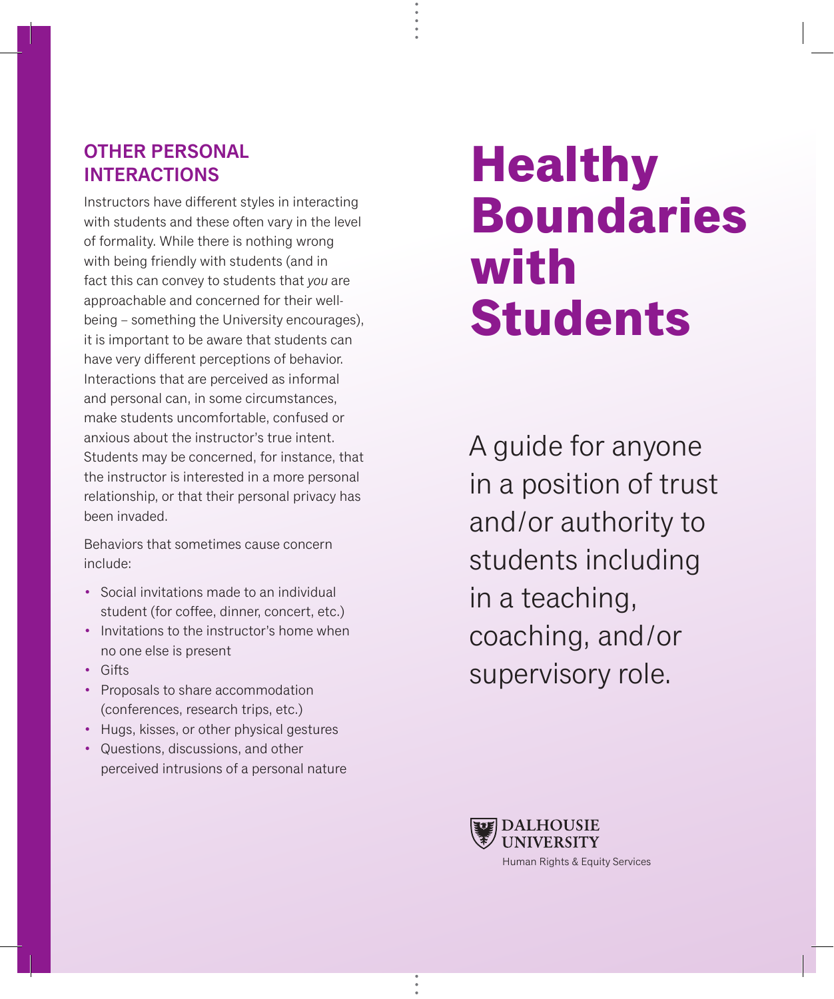## OTHER PERSONAL INTERACTIONS

Instructors have different styles in interacting with students and these often vary in the level of formality. While there is nothing wrong with being friendly with students (and in fact this can convey to students that *you* are approachable and concerned for their wellbeing – something the University encourages), it is important to be aware that students can have very different perceptions of behavior. Interactions that are perceived as informal and personal can, in some circumstances, make students uncomfortable, confused or anxious about the instructor's true intent. Students may be concerned, for instance, that the instructor is interested in a more personal relationship, or that their personal privacy has been invaded.

Behaviors that sometimes cause concern include:

- Social invitations made to an individual student (for coffee, dinner, concert, etc.)
- Invitations to the instructor's home when no one else is present
- Gifts
- Proposals to share accommodation (conferences, research trips, etc.)
- Hugs, kisses, or other physical gestures
- Questions, discussions, and other perceived intrusions of a personal nature

## **Healthy Boundaries with Students**

A guide for anyone in a position of trust and/or authority to students including in a teaching, coaching, and/or supervisory role.